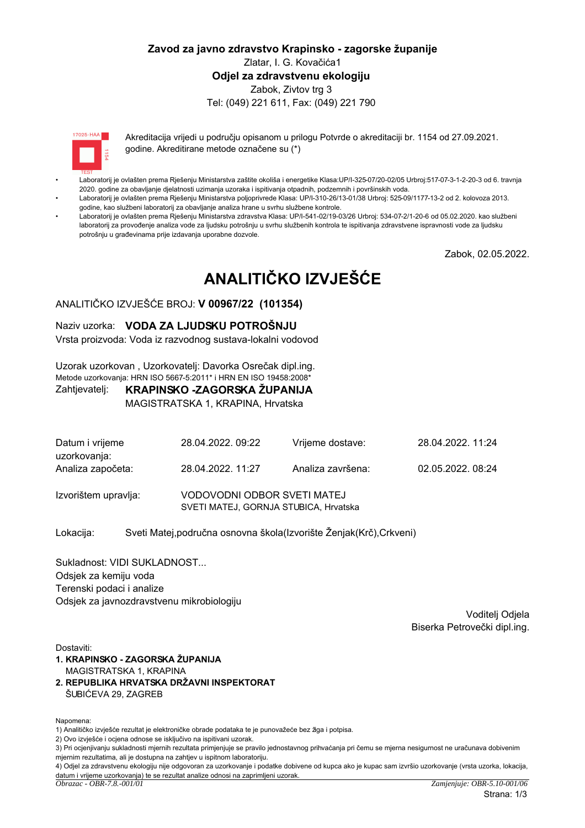# Zavod za javno zdravstvo Krapinsko - zagorske županije Zlatar, I. G. Kovačića1 Odiel za zdravstvenu ekologiju Zabok, Zivtov trg 3 Tel: (049) 221 611, Fax: (049) 221 790

 $17095 \cdot HAA$ 

Akreditacija vrijedi u područiu opisanom u prilogu Potvrde o akreditaciji br. 1154 od 27.09.2021. godine. Akreditirane metode označene su (\*)

- Laboratorij je ovlašten prema Rješenju Ministarstva zaštite okoliša i energetike Klasa:UP/l-325-07/20-02/05 Urbroj:517-07-3-1-2-20-3 od 6. travnja 2020. godine za obavljanje djelatnosti uzimanja uzoraka i ispitivanja otpadnih, podzemnih i površinskih voda.
- Laboratorij je ovlašten prema Rješenju Ministarstva poljoprivrede Klasa: UP/I-310-26/13-01/38 Urbroj: 525-09/1177-13-2 od 2. kolovoza 2013. godine, kao službeni laboratorij za obavljanje analiza hrane u svrhu službene kontrole.
- Laboratorij je ovlašten prema Riešenju Ministarstva zdravstva Klasa: UP/I-541-02/19-03/26 Urbroj: 534-07-2/1-20-6 od 05.02.2020. kao službeni laboratorij za provođenje analiza vode za ljudsku potrošnju u svrhu službenih kontrola te ispitivanja zdravstvene ispravnosti vode za ljudsku potrošniu u građevinama prije izdavanja uporabne dozvole.

Zabok, 02.05.2022.

# ANALITIČKO IZVJEŠĆE

# ANALITIČKO IZVJEŠĆE BROJ: V 00967/22 (101354)

#### Naziv uzorka: VODA ZA LJUDSKU POTROŠNJU

Vrsta proizvoda: Voda iz razvodnog sustava-lokalni vodovod

Uzorak uzorkovan, Uzorkovatelj: Davorka Osrečak dipl.ing. Metode uzorkovanja: HRN ISO 5667-5:2011\* i HRN EN ISO 19458:2008\*

#### KRAPINSKO -ZAGORSKA ŽUPANIJA Zahtjevatelj:

MAGISTRATSKA 1, KRAPINA, Hrvatska

| Datum i vrijeme<br>uzorkovanja: | 28.04.2022.09:22                                                     | Vrijeme dostave:  | 28.04.2022.11:24 |
|---------------------------------|----------------------------------------------------------------------|-------------------|------------------|
| Analiza započeta:               | 28.04.2022. 11:27                                                    | Analiza završena: | 02.05.2022.08:24 |
| Izvorištem upravlja:            | VODOVODNI ODBOR SVETI MATEJ<br>SVETI MATEJ, GORNJA STUBICA, Hrvatska |                   |                  |

Sveti Matej, područna osnovna škola (Izvorište Ženjak (Krč), Crkveni) Lokacija:

Sukladnost: VIDI SUKLADNOST... Odsjek za kemiju voda Terenski podaci i analize Odsiek za javnozdravstvenu mikrobiologiju

> Voditeli Odiela Biserka Petrovečki dipl.ing.

Dostaviti:

- 1. KRAPINSKO ZAGORSKA ŽUPANIJA MAGISTRATSKA 1. KRAPINA
- 2. REPUBLIKA HRVATSKA DRŽAVNI INSPEKTORAT ŠUBIĆEVA 29, ZAGREB

Napomena:

1) Analitičko izviešće rezultat je elektroničke obrade podataka te je punovažeće bez žiga i potpisa.

2) Ovo izvješće i ocjena odnose se isključivo na ispitivani uzorak.

<sup>3)</sup> Pri ocjenjivanju sukladnosti mjernih rezultata primjenjuje se pravilo jednostavnog prihvaćanja pri čemu se mjerna nesigurnost ne uračunava dobivenim miernim rezultatima, ali je dostupna na zahtjev u ispitnom laboratoriju.

<sup>4)</sup> Odjel za zdravstvenu ekologiju nije odgovoran za uzorkovanje i podatke dobivene od kupca ako je kupac sam izvršio uzorkovanje (vrsta uzorka, lokacija, datum i vrijeme uzorkovanja) te se rezultat analize odnosi na zaprimljeni uzorak.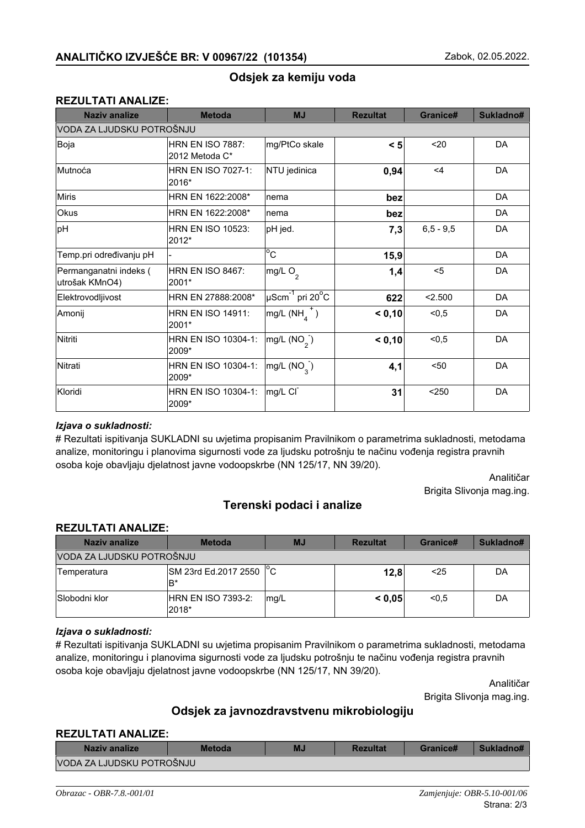# Odsjek za kemiju voda

# **REZULTATI ANALIZE:**

| <b>Naziv analize</b>                     | <b>Metoda</b>                             | <b>MJ</b>                                     | <b>Rezultat</b> | Granice#    | Sukladno# |
|------------------------------------------|-------------------------------------------|-----------------------------------------------|-----------------|-------------|-----------|
| VODA ZA LJUDSKU POTROŠNJU                |                                           |                                               |                 |             |           |
| Boja                                     | <b>HRN EN ISO 7887:</b><br>2012 Metoda C* | mg/PtCo skale                                 | $\leq 5$        | 20          | DA        |
| Mutnoća                                  | <b>HRN EN ISO 7027-1:</b><br>2016*        | NTU jedinica                                  | 0,94            | $<$ 4       | DA        |
| <b>Miris</b>                             | HRN EN 1622:2008*                         | nema                                          | bez             |             | DA        |
| Okus                                     | HRN EN 1622:2008*                         | nema                                          | bez             |             | DA        |
| pH                                       | <b>HRN EN ISO 10523:</b><br>2012*         | pH jed.                                       | 7,3             | $6,5 - 9,5$ | DA        |
| Temp.pri određivanju pH                  |                                           | $\overline{c}$                                | 15,9            |             | DA        |
| Permanganatni indeks (<br>utrošak KMnO4) | <b>HRN EN ISO 8467:</b><br>2001*          | mg/L O <sub>2</sub>                           | 1,4             | $5$         | DA        |
| Elektrovodljivost                        | HRN EN 27888:2008*                        | $\mu$ Scm <sup>-1</sup> pri 20 <sup>o</sup> C | 622             | < 2.500     | DA        |
| Amonij                                   | <b>HRN EN ISO 14911:</b><br>2001*         | $mg/L(NH4+)$                                  | < 0,10          | < 0, 5      | DA        |
| Nitriti                                  | HRN EN ISO 10304-1:<br>2009*              | mg/L (NO <sub>2</sub> )                       | < 0,10          | < 0, 5      | DA        |
| Nitrati                                  | HRN EN ISO 10304-1:<br>2009*              | $mg/L$ (NO <sub>3</sub> )                     | 4,1             | $50$        | DA        |
| Kloridi                                  | HRN EN ISO 10304-1:<br>2009*              | mg/L CI                                       | 31              | $250$       | DA        |

### lzjava o sukladnosti:

# Rezultati ispitivanja SUKLADNI su uvjetima propisanim Pravilnikom o parametrima sukladnosti, metodama analize, monitoringu i planovima sigurnosti vode za ljudsku potrošnju te načinu vođenja registra pravnih osoba koje obavljaju djelatnost javne vodoopskrbe (NN 125/17, NN 39/20).

> Analitičar Brigita Slivonia mag.ing.

# **Terenski podaci i analize**

#### **REZULTATI ANALIZE:**

| Naziv analize             | <b>Metoda</b>                 | <b>MJ</b> | <b>Rezultat</b> | Granice# | Sukladno# |
|---------------------------|-------------------------------|-----------|-----------------|----------|-----------|
| VODA ZA LJUDSKU POTROŠNJU |                               |           |                 |          |           |
| Temperatura               | SM 23rd Ed.2017 2550 °C<br>B* |           | 12,8            | $25$     | DA        |
| Slobodni klor             | HRN EN ISO 7393-2:<br>2018*   | mg/L      | < 0.05          | < 0.5    | DA        |

# *lzjava* o sukladnosti:

# Rezultati ispitivanja SUKLADNI su uvjetima propisanim Pravilnikom o parametrima sukladnosti, metodama analize, monitoringu i planovima sigurnosti vode za ljudsku potrošnju te načinu vođenja registra pravnih osoba koje obavljaju djelatnost javne vodoopskrbe (NN 125/17, NN 39/20).

> Analitičar Brigita Slivonja mag.ing.

# Odsjek za javnozdravstvenu mikrobiologiju

#### **REZULTATI ANALIZE:**

| Naziv analize             | <b>Metoda</b> | MJ | <b>Rezultat</b> | Granice# | Sukladno# |
|---------------------------|---------------|----|-----------------|----------|-----------|
| VODA ZA LJUDSKU POTROŠNJU |               |    |                 |          |           |